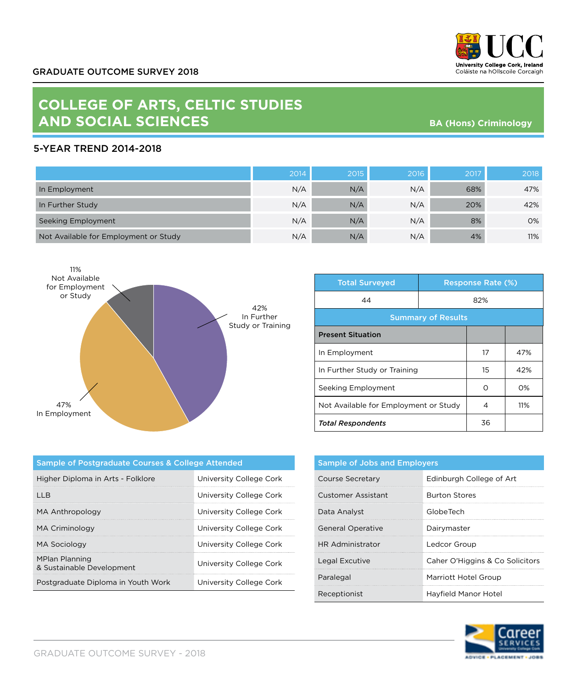

## **COLLEGE OF ARTS, CELTIC STUDIES AND SOCIAL SCIENCES**

**BA (Hons) Criminology**

## 5-YEAR TREND 2014-2018

|                                       | 2014 | 2015 | 2016 | 2017 | 2018 |
|---------------------------------------|------|------|------|------|------|
| In Employment                         | N/A  | N/A  | N/A  | 68%  | 47%  |
| In Further Study                      | N/A  | N/A  | N/A  | 20%  | 42%  |
| Seeking Employment                    | N/A  | N/A  | N/A  | 8%   | 0%   |
| Not Available for Employment or Study | N/A  | N/A  | N/A  | 4%   | 11%  |



| <b>Total Surveyed</b>                 | <b>Response Rate (%)</b> |    |     |  |
|---------------------------------------|--------------------------|----|-----|--|
| 44<br>82%                             |                          |    |     |  |
| <b>Summary of Results</b>             |                          |    |     |  |
| <b>Present Situation</b>              |                          |    |     |  |
| In Employment                         |                          | 17 | 47% |  |
| In Further Study or Training          |                          | 15 | 42% |  |
| Seeking Employment                    |                          | ∩  | O%  |  |
| Not Available for Employment or Study |                          | 4  | 11% |  |
| <b>Total Respondents</b>              |                          | 36 |     |  |

| Sample of Postgraduate Courses & College Attended  |                         |  |  |  |
|----------------------------------------------------|-------------------------|--|--|--|
| Higher Diploma in Arts - Folklore                  | University College Cork |  |  |  |
| I I R                                              | University College Cork |  |  |  |
| MA Anthropology                                    | University College Cork |  |  |  |
| MA Criminology                                     | University College Cork |  |  |  |
| MA Sociology                                       | University College Cork |  |  |  |
| <b>MPlan Planning</b><br>& Sustainable Development | University College Cork |  |  |  |
| Postgraduate Diploma in Youth Work                 | University College Cork |  |  |  |

| <b>Sample of Jobs and Employers</b> |                                 |  |
|-------------------------------------|---------------------------------|--|
| Course Secretary                    | Edinburgh College of Art        |  |
| <b>Customer Assistant</b>           | <b>Burton Stores</b>            |  |
| Data Analyst                        | GlobeTech                       |  |
| <b>General Operative</b>            | Dairymaster                     |  |
| HR Administrator                    | Ledcor Group                    |  |
| Legal Excutive                      | Caher O'Higgins & Co Solicitors |  |
| Paralegal                           | Marriott Hotel Group            |  |
| Receptionist                        | Havfield Manor Hotel            |  |